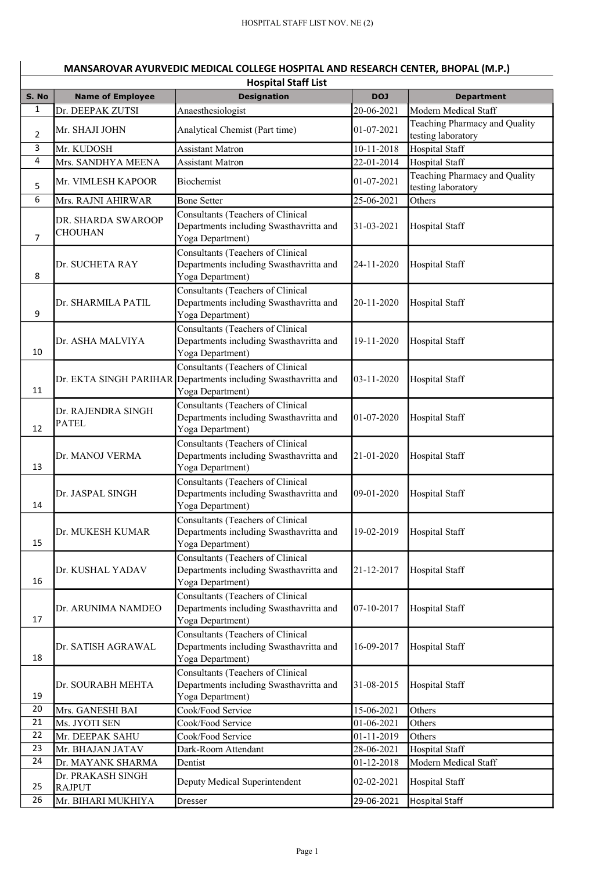|                | MANSAROVAR AYURVEDIC MEDICAL COLLEGE HOSPITAL AND RESEARCH CENTER, BHOPAL (M.P.) |                                                             |            |                                                       |  |  |  |
|----------------|----------------------------------------------------------------------------------|-------------------------------------------------------------|------------|-------------------------------------------------------|--|--|--|
|                | <b>Hospital Staff List</b>                                                       |                                                             |            |                                                       |  |  |  |
| S. No<br>1     | <b>Name of Employee</b>                                                          | <b>Designation</b>                                          | <b>DOJ</b> | <b>Department</b>                                     |  |  |  |
|                | Dr. DEEPAK ZUTSI                                                                 | Anaesthesiologist                                           | 20-06-2021 | Modern Medical Staff<br>Teaching Pharmacy and Quality |  |  |  |
| $\overline{2}$ | Mr. SHAJI JOHN                                                                   | Analytical Chemist (Part time)                              | 01-07-2021 | testing laboratory                                    |  |  |  |
| 3              | Mr. KUDOSH                                                                       | <b>Assistant Matron</b>                                     | 10-11-2018 | Hospital Staff                                        |  |  |  |
| $\overline{4}$ | Mrs. SANDHYA MEENA                                                               | <b>Assistant Matron</b>                                     | 22-01-2014 | <b>Hospital Staff</b>                                 |  |  |  |
|                | Mr. VIMLESH KAPOOR                                                               | Biochemist                                                  | 01-07-2021 | Teaching Pharmacy and Quality                         |  |  |  |
| 5              |                                                                                  |                                                             |            | testing laboratory                                    |  |  |  |
| 6              | Mrs. RAJNI AHIRWAR                                                               | <b>Bone Setter</b>                                          | 25-06-2021 | Others                                                |  |  |  |
|                | DR. SHARDA SWAROOP                                                               | Consultants (Teachers of Clinical                           |            |                                                       |  |  |  |
| $\overline{7}$ | <b>CHOUHAN</b>                                                                   | Departments including Swasthavritta and<br>Yoga Department) | 31-03-2021 | Hospital Staff                                        |  |  |  |
|                |                                                                                  | Consultants (Teachers of Clinical                           |            |                                                       |  |  |  |
|                | Dr. SUCHETA RAY                                                                  | Departments including Swasthavritta and                     | 24-11-2020 | Hospital Staff                                        |  |  |  |
| 8              |                                                                                  | Yoga Department)                                            |            |                                                       |  |  |  |
|                |                                                                                  | Consultants (Teachers of Clinical                           |            |                                                       |  |  |  |
|                | Dr. SHARMILA PATIL                                                               | Departments including Swasthavritta and                     | 20-11-2020 | Hospital Staff                                        |  |  |  |
| 9              |                                                                                  | Yoga Department)                                            |            |                                                       |  |  |  |
|                |                                                                                  | Consultants (Teachers of Clinical                           |            |                                                       |  |  |  |
| 10             | Dr. ASHA MALVIYA                                                                 | Departments including Swasthavritta and<br>Yoga Department) | 19-11-2020 | Hospital Staff                                        |  |  |  |
|                |                                                                                  | Consultants (Teachers of Clinical                           |            |                                                       |  |  |  |
|                | Dr. EKTA SINGH PARIHAR                                                           | Departments including Swasthavritta and                     | 03-11-2020 | Hospital Staff                                        |  |  |  |
| 11             |                                                                                  | Yoga Department)                                            |            |                                                       |  |  |  |
|                |                                                                                  | Consultants (Teachers of Clinical                           |            |                                                       |  |  |  |
|                | Dr. RAJENDRA SINGH<br><b>PATEL</b>                                               | Departments including Swasthavritta and                     | 01-07-2020 | Hospital Staff                                        |  |  |  |
| 12             |                                                                                  | Yoga Department)                                            |            |                                                       |  |  |  |
|                |                                                                                  | Consultants (Teachers of Clinical                           |            |                                                       |  |  |  |
| 13             | Dr. MANOJ VERMA                                                                  | Departments including Swasthavritta and<br>Yoga Department) | 21-01-2020 | Hospital Staff                                        |  |  |  |
|                |                                                                                  | Consultants (Teachers of Clinical                           |            |                                                       |  |  |  |
|                | Dr. JASPAL SINGH                                                                 | Departments including Swasthavritta and                     | 09-01-2020 | Hospital Staff                                        |  |  |  |
| 14             |                                                                                  | Yoga Department)                                            |            |                                                       |  |  |  |
|                |                                                                                  | Consultants (Teachers of Clinical                           |            |                                                       |  |  |  |
|                | Dr. MUKESH KUMAR                                                                 | Departments including Swasthavritta and                     | 19-02-2019 | Hospital Staff                                        |  |  |  |
| 15             |                                                                                  | Yoga Department)                                            |            |                                                       |  |  |  |
|                |                                                                                  | Consultants (Teachers of Clinical                           |            |                                                       |  |  |  |
| 16             | Dr. KUSHAL YADAV                                                                 | Departments including Swasthavritta and<br>Yoga Department) | 21-12-2017 | Hospital Staff                                        |  |  |  |
|                |                                                                                  | Consultants (Teachers of Clinical                           |            |                                                       |  |  |  |
|                | Dr. ARUNIMA NAMDEO                                                               | Departments including Swasthavritta and                     | 07-10-2017 | Hospital Staff                                        |  |  |  |
| 17             |                                                                                  | Yoga Department)                                            |            |                                                       |  |  |  |
|                |                                                                                  | Consultants (Teachers of Clinical                           |            |                                                       |  |  |  |
|                | Dr. SATISH AGRAWAL                                                               | Departments including Swasthavritta and                     | 16-09-2017 | Hospital Staff                                        |  |  |  |
| 18             |                                                                                  | Yoga Department)                                            |            |                                                       |  |  |  |
|                |                                                                                  | Consultants (Teachers of Clinical                           |            |                                                       |  |  |  |
| 19             | Dr. SOURABH MEHTA                                                                | Departments including Swasthavritta and<br>Yoga Department) | 31-08-2015 | Hospital Staff                                        |  |  |  |
| 20             | Mrs. GANESHI BAI                                                                 | Cook/Food Service                                           | 15-06-2021 | Others                                                |  |  |  |
| 21             | Ms. JYOTI SEN                                                                    | Cook/Food Service                                           | 01-06-2021 | Others                                                |  |  |  |
| 22             | Mr. DEEPAK SAHU                                                                  | Cook/Food Service                                           | 01-11-2019 | Others                                                |  |  |  |
| 23             | Mr. BHAJAN JATAV                                                                 | Dark-Room Attendant                                         | 28-06-2021 | <b>Hospital Staff</b>                                 |  |  |  |
| 24             | Dr. MAYANK SHARMA                                                                | Dentist                                                     | 01-12-2018 | Modern Medical Staff                                  |  |  |  |
|                | Dr. PRAKASH SINGH                                                                | Deputy Medical Superintendent                               | 02-02-2021 | Hospital Staff                                        |  |  |  |
| 25             | <b>RAJPUT</b>                                                                    |                                                             |            |                                                       |  |  |  |
| 26             | Mr. BIHARI MUKHIYA                                                               | Dresser                                                     | 29-06-2021 | <b>Hospital Staff</b>                                 |  |  |  |

## MANSAROVAR AYURVEDIC MEDICAL COLLEGE HOSPITAL AND RESEARCH CENTER, BHOPAL (M.P.)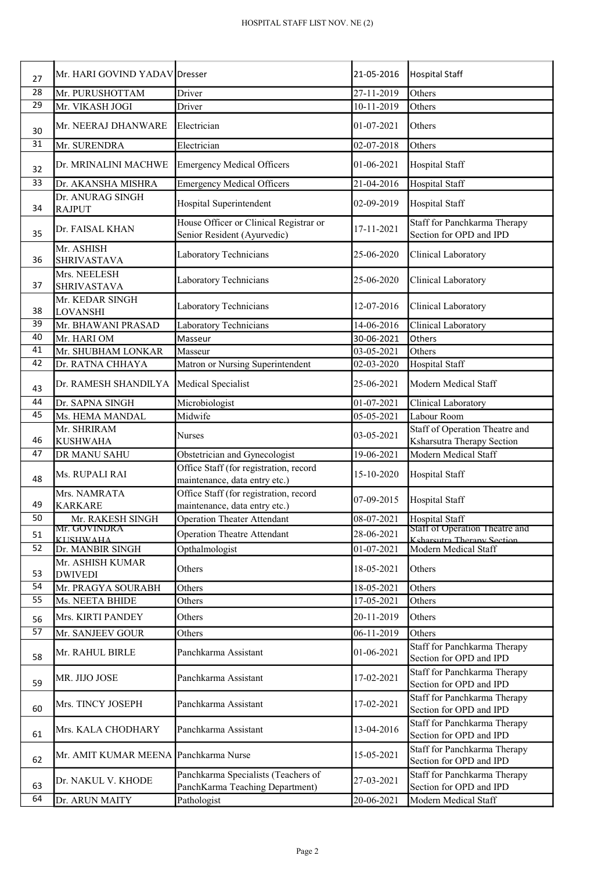| 27              | Mr. HARI GOVIND YADAV Dresser           |                                                                         | 21-05-2016               | <b>Hospital Staff</b>                                        |
|-----------------|-----------------------------------------|-------------------------------------------------------------------------|--------------------------|--------------------------------------------------------------|
| $\overline{28}$ |                                         |                                                                         | 27-11-2019               | Others                                                       |
| 29              | Mr. PURUSHOTTAM<br>Mr. VIKASH JOGI      | Driver<br>Driver                                                        | 10-11-2019               | Others                                                       |
|                 |                                         |                                                                         |                          |                                                              |
| 30              | Mr. NEERAJ DHANWARE                     | Electrician                                                             | 01-07-2021               | Others                                                       |
| 31              | Mr. SURENDRA                            | Electrician                                                             | $\overline{02}$ -07-2018 | Others                                                       |
| 32              | Dr. MRINALINI MACHWE                    | <b>Emergency Medical Officers</b>                                       | 01-06-2021               | <b>Hospital Staff</b>                                        |
| 33              | Dr. AKANSHA MISHRA                      | <b>Emergency Medical Officers</b>                                       | 21-04-2016               | <b>Hospital Staff</b>                                        |
| 34              | Dr. ANURAG SINGH<br><b>RAJPUT</b>       | Hospital Superintendent                                                 | 02-09-2019               | <b>Hospital Staff</b>                                        |
| 35              | Dr. FAISAL KHAN                         | House Officer or Clinical Registrar or<br>Senior Resident (Ayurvedic)   | 17-11-2021               | Staff for Panchkarma Therapy<br>Section for OPD and IPD      |
| 36              | Mr. ASHISH<br><b>SHRIVASTAVA</b>        | Laboratory Technicians                                                  | 25-06-2020               | Clinical Laboratory                                          |
| 37              | Mrs. NEELESH<br><b>SHRIVASTAVA</b>      | Laboratory Technicians                                                  | 25-06-2020               | Clinical Laboratory                                          |
| 38              | Mr. KEDAR SINGH<br><b>LOVANSHI</b>      | Laboratory Technicians                                                  | 12-07-2016               | Clinical Laboratory                                          |
| 39              | Mr. BHAWANI PRASAD                      | Laboratory Technicians                                                  | 14-06-2016               | Clinical Laboratory                                          |
| 40              | Mr. HARI OM                             | Masseur                                                                 | 30-06-2021               | Others                                                       |
| 41              | Mr. SHUBHAM LONKAR                      | Masseur                                                                 | 03-05-2021               | Others                                                       |
| 42              | Dr. RATNA CHHAYA                        | Matron or Nursing Superintendent                                        | 02-03-2020               | Hospital Staff                                               |
| 43              | Dr. RAMESH SHANDILYA Medical Specialist |                                                                         | 25-06-2021               | Modern Medical Staff                                         |
| 44              | Dr. SAPNA SINGH                         | Microbiologist                                                          | 01-07-2021               | Clinical Laboratory                                          |
| 45              | Ms. HEMA MANDAL                         | Midwife                                                                 | 05-05-2021               | Labour Room                                                  |
|                 | Mr. SHRIRAM                             | <b>Nurses</b>                                                           | 03-05-2021               | Staff of Operation Theatre and                               |
| 46              | <b>KUSHWAHA</b>                         |                                                                         |                          | Ksharsutra Therapy Section                                   |
| 47              | DR MANU SAHU                            | Obstetrician and Gynecologist                                           | $19-06-2021$             | Modern Medical Staff                                         |
| 48              | Ms. RUPALI RAI                          | Office Staff (for registration, record<br>maintenance, data entry etc.) | 15-10-2020               | Hospital Staff                                               |
|                 | Mrs. NAMRATA                            | Office Staff (for registration, record                                  | 07-09-2015               | Hospital Staff                                               |
| 49              | <b>KARKARE</b>                          | maintenance, data entry etc.)                                           |                          |                                                              |
| 50              | Mr. RAKESH SINGH                        | <b>Operation Theater Attendant</b>                                      | 08-07-2021               | <b>Hospital Staff</b>                                        |
| 51              | Mr. GOVINDRA<br><b>KIISHWAHA</b>        | <b>Operation Theatre Attendant</b>                                      | 28-06-2021               | Staff of Operation Theatre and<br>Ksharsutra Therany Section |
| 52              | Dr. MANBIR SINGH                        | Opthalmologist                                                          | 01-07-2021               | Modern Medical Staff                                         |
| 53              | Mr. ASHISH KUMAR<br><b>DWIVEDI</b>      | Others                                                                  | 18-05-2021               | Others                                                       |
| 54              | Mr. PRAGYA SOURABH                      | Others                                                                  | 18-05-2021               | Others                                                       |
| 55              | Ms. NEETA BHIDE                         | Others                                                                  | 17-05-2021               | Others                                                       |
| 56              | Mrs. KIRTI PANDEY                       | Others                                                                  | 20-11-2019               | Others                                                       |
| $\overline{57}$ | Mr. SANJEEV GOUR                        | Others                                                                  | 06-11-2019               | Others                                                       |
|                 |                                         |                                                                         |                          | Staff for Panchkarma Therapy                                 |
| 58              | Mr. RAHUL BIRLE                         | Panchkarma Assistant                                                    | 01-06-2021               | Section for OPD and IPD                                      |
| 59              | MR. JIJO JOSE                           | Panchkarma Assistant                                                    | 17-02-2021               | Staff for Panchkarma Therapy<br>Section for OPD and IPD      |
| 60              | Mrs. TINCY JOSEPH                       | Panchkarma Assistant                                                    | 17-02-2021               | Staff for Panchkarma Therapy<br>Section for OPD and IPD      |
| 61              | Mrs. KALA CHODHARY                      | Panchkarma Assistant                                                    | 13-04-2016               | Staff for Panchkarma Therapy<br>Section for OPD and IPD      |
| 62              | Mr. AMIT KUMAR MEENA Panchkarma Nurse   |                                                                         | 15-05-2021               | Staff for Panchkarma Therapy<br>Section for OPD and IPD      |
|                 | Dr. NAKUL V. KHODE                      | Panchkarma Specialists (Teachers of                                     | 27-03-2021               | Staff for Panchkarma Therapy                                 |
| 63              |                                         | PanchKarma Teaching Department)                                         |                          | Section for OPD and IPD                                      |
| 64              | Dr. ARUN MAITY                          | Pathologist                                                             | 20-06-2021               | Modern Medical Staff                                         |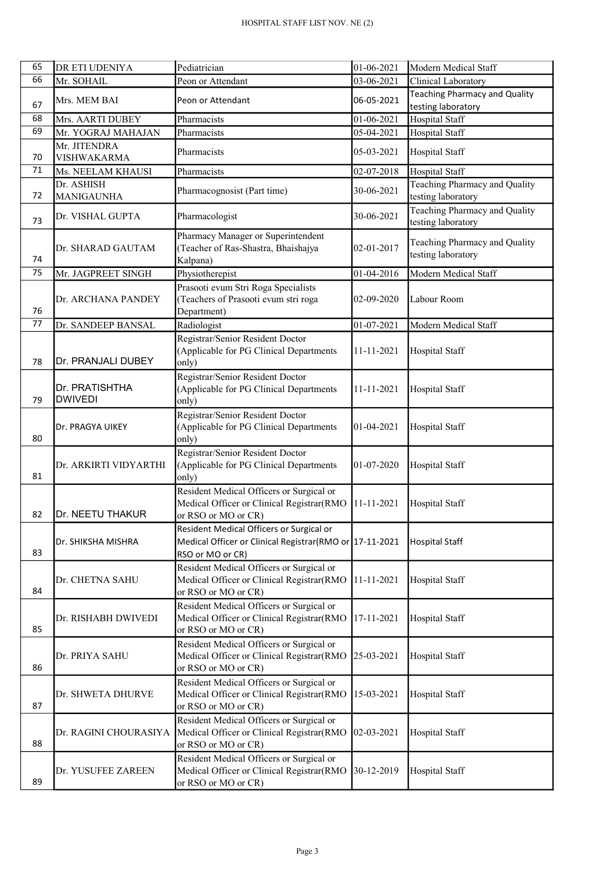| 65 | DR ETI UDENIYA                     | Pediatrician                                                                                                            | 01-06-2021    | Modern Medical Staff                                       |
|----|------------------------------------|-------------------------------------------------------------------------------------------------------------------------|---------------|------------------------------------------------------------|
| 66 | Mr. SOHAIL                         | Peon or Attendant                                                                                                       | 03-06-2021    | Clinical Laboratory                                        |
| 67 | Mrs. MEM BAI                       | Peon or Attendant                                                                                                       | 06-05-2021    | <b>Teaching Pharmacy and Quality</b><br>testing laboratory |
| 68 | Mrs. AARTI DUBEY                   | Pharmacists                                                                                                             | 01-06-2021    | <b>Hospital Staff</b>                                      |
| 69 | Mr. YOGRAJ MAHAJAN                 | Pharmacists                                                                                                             | 05-04-2021    | <b>Hospital Staff</b>                                      |
| 70 | Mr. JITENDRA<br><b>VISHWAKARMA</b> | Pharmacists                                                                                                             | 05-03-2021    | <b>Hospital Staff</b>                                      |
| 71 | Ms. NEELAM KHAUSI                  | Pharmacists                                                                                                             | 02-07-2018    | <b>Hospital Staff</b>                                      |
| 72 | Dr. ASHISH<br><b>MANIGAUNHA</b>    | Pharmacognosist (Part time)                                                                                             | 30-06-2021    | Teaching Pharmacy and Quality<br>testing laboratory        |
| 73 | Dr. VISHAL GUPTA                   | Pharmacologist                                                                                                          | 30-06-2021    | Teaching Pharmacy and Quality<br>testing laboratory        |
| 74 | Dr. SHARAD GAUTAM                  | Pharmacy Manager or Superintendent<br>(Teacher of Ras-Shastra, Bhaishajya<br>Kalpana)                                   | 02-01-2017    | Teaching Pharmacy and Quality<br>testing laboratory        |
| 75 | Mr. JAGPREET SINGH                 | Physiotherepist                                                                                                         | 01-04-2016    | Modern Medical Staff                                       |
| 76 | Dr. ARCHANA PANDEY                 | Prasooti evum Stri Roga Specialists<br>(Teachers of Prasooti evum stri roga<br>Department)                              | 02-09-2020    | Labour Room                                                |
| 77 | Dr. SANDEEP BANSAL                 | Radiologist                                                                                                             | 01-07-2021    | Modern Medical Staff                                       |
| 78 | Dr. PRANJALI DUBEY                 | Registrar/Senior Resident Doctor<br>(Applicable for PG Clinical Departments<br>only)                                    | 11-11-2021    | <b>Hospital Staff</b>                                      |
| 79 | Dr. PRATISHTHA<br><b>DWIVEDI</b>   | Registrar/Senior Resident Doctor<br>(Applicable for PG Clinical Departments<br>only)                                    | 11-11-2021    | <b>Hospital Staff</b>                                      |
| 80 | Dr. PRAGYA UIKEY                   | Registrar/Senior Resident Doctor<br>(Applicable for PG Clinical Departments<br>only)                                    | 01-04-2021    | Hospital Staff                                             |
| 81 | Dr. ARKIRTI VIDYARTHI              | Registrar/Senior Resident Doctor<br>(Applicable for PG Clinical Departments<br>only)                                    | $ 01-07-2020$ | <b>Hospital Staff</b>                                      |
| 82 | Dr. NEETU THAKUR                   | Resident Medical Officers or Surgical or<br>Medical Officer or Clinical Registrar(RMO<br>or RSO or MO or CR)            | 11-11-2021    | <b>Hospital Staff</b>                                      |
| 83 | Dr. SHIKSHA MISHRA                 | Resident Medical Officers or Surgical or<br>Medical Officer or Clinical Registrar(RMO or 17-11-2021<br>RSO or MO or CR) |               | <b>Hospital Staff</b>                                      |
| 84 | Dr. CHETNA SAHU                    | Resident Medical Officers or Surgical or<br>Medical Officer or Clinical Registrar(RMO<br>or RSO or MO or CR)            | 11-11-2021    | Hospital Staff                                             |
| 85 | Dr. RISHABH DWIVEDI                | Resident Medical Officers or Surgical or<br>Medical Officer or Clinical Registrar(RMO<br>or RSO or MO or CR)            | 17-11-2021    | Hospital Staff                                             |
| 86 | Dr. PRIYA SAHU                     | Resident Medical Officers or Surgical or<br>Medical Officer or Clinical Registrar(RMO<br>or RSO or MO or CR)            | 25-03-2021    | Hospital Staff                                             |
| 87 | Dr. SHWETA DHURVE                  | Resident Medical Officers or Surgical or<br>Medical Officer or Clinical Registrar(RMO<br>or RSO or MO or CR)            | 15-03-2021    | Hospital Staff                                             |
| 88 | Dr. RAGINI CHOURASIYA              | Resident Medical Officers or Surgical or<br>Medical Officer or Clinical Registrar(RMO<br>or RSO or MO or CR)            | 02-03-2021    | Hospital Staff                                             |
| 89 | Dr. YUSUFEE ZAREEN                 | Resident Medical Officers or Surgical or<br>Medical Officer or Clinical Registrar(RMO<br>or RSO or MO or CR)            | 30-12-2019    | <b>Hospital Staff</b>                                      |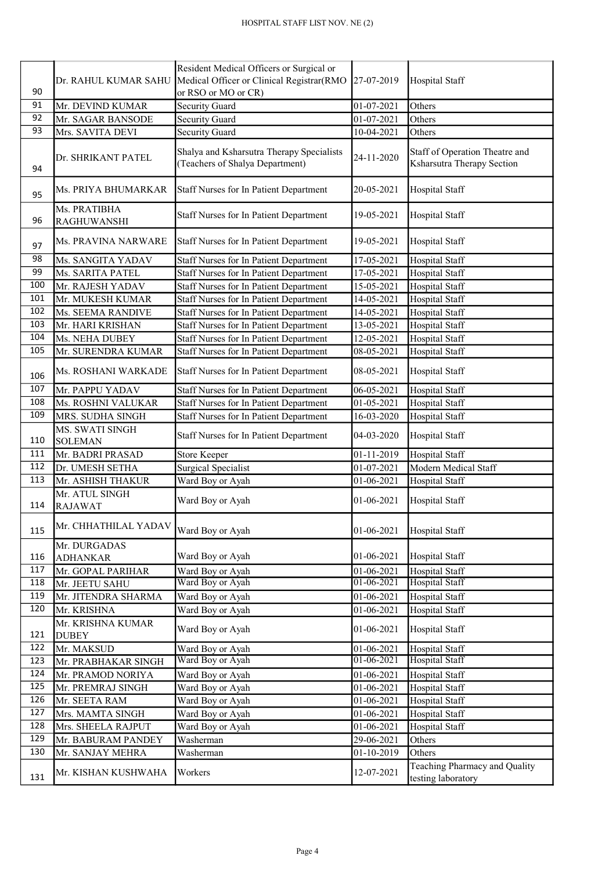| 90              | Dr. RAHUL KUMAR SAHU               | Resident Medical Officers or Surgical or<br>Medical Officer or Clinical Registrar(RMO<br>or RSO or MO or CR) | 27-07-2019       | Hospital Staff                                               |
|-----------------|------------------------------------|--------------------------------------------------------------------------------------------------------------|------------------|--------------------------------------------------------------|
| 91              | Mr. DEVIND KUMAR                   | Security Guard                                                                                               | 01-07-2021       | Others                                                       |
| $\overline{92}$ | Mr. SAGAR BANSODE                  | Security Guard                                                                                               | 01-07-2021       | Others                                                       |
| $\overline{93}$ | Mrs. SAVITA DEVI                   | Security Guard                                                                                               | 10-04-2021       | Others                                                       |
| 94              | Dr. SHRIKANT PATEL                 | Shalya and Ksharsutra Therapy Specialists<br>(Teachers of Shalya Department)                                 | 24-11-2020       | Staff of Operation Theatre and<br>Ksharsutra Therapy Section |
| 95              | Ms. PRIYA BHUMARKAR                | Staff Nurses for In Patient Department                                                                       | 20-05-2021       | Hospital Staff                                               |
| 96              | Ms. PRATIBHA<br><b>RAGHUWANSHI</b> | Staff Nurses for In Patient Department                                                                       | 19-05-2021       | Hospital Staff                                               |
| 97              | Ms. PRAVINA NARWARE                | Staff Nurses for In Patient Department                                                                       | 19-05-2021       | Hospital Staff                                               |
| 98              | Ms. SANGITA YADAV                  | Staff Nurses for In Patient Department                                                                       | 17-05-2021       | Hospital Staff                                               |
| 99              | Ms. SARITA PATEL                   | <b>Staff Nurses for In Patient Department</b>                                                                | 17-05-2021       | <b>Hospital Staff</b>                                        |
| 100             | Mr. RAJESH YADAV                   | <b>Staff Nurses for In Patient Department</b>                                                                | 15-05-2021       | Hospital Staff                                               |
| 101             | Mr. MUKESH KUMAR                   | Staff Nurses for In Patient Department                                                                       | 14-05-2021       | Hospital Staff                                               |
| 102             | Ms. SEEMA RANDIVE                  | <b>Staff Nurses for In Patient Department</b>                                                                | 14-05-2021       | Hospital Staff                                               |
| 103             | Mr. HARI KRISHAN                   | <b>Staff Nurses for In Patient Department</b>                                                                | 13-05-2021       | Hospital Staff                                               |
| 104             | Ms. NEHA DUBEY                     | Staff Nurses for In Patient Department                                                                       | 12-05-2021       | <b>Hospital Staff</b>                                        |
| 105             | Mr. SURENDRA KUMAR                 | Staff Nurses for In Patient Department                                                                       | 08-05-2021       | Hospital Staff                                               |
| 106             | Ms. ROSHANI WARKADE                | Staff Nurses for In Patient Department                                                                       | 08-05-2021       | Hospital Staff                                               |
| 107             | Mr. PAPPU YADAV                    | Staff Nurses for In Patient Department                                                                       | 06-05-2021       | <b>Hospital Staff</b>                                        |
| 108             | Ms. ROSHNI VALUKAR                 | <b>Staff Nurses for In Patient Department</b>                                                                | 01-05-2021       | Hospital Staff                                               |
| 109             | MRS. SUDHA SINGH                   | Staff Nurses for In Patient Department                                                                       | 16-03-2020       | <b>Hospital Staff</b>                                        |
| 110             | MS. SWATI SINGH<br><b>SOLEMAN</b>  | Staff Nurses for In Patient Department                                                                       | 04-03-2020       | Hospital Staff                                               |
| 111             | Mr. BADRI PRASAD                   | <b>Store Keeper</b>                                                                                          | 01-11-2019       | Hospital Staff                                               |
| 112             | Dr. UMESH SETHA                    | Surgical Specialist                                                                                          | 01-07-2021       | Modern Medical Staff                                         |
| 113             | Mr. ASHISH THAKUR                  | Ward Boy or Ayah                                                                                             | 01-06-2021       | <b>Hospital Staff</b>                                        |
| 114             | Mr. ATUL SINGH<br><b>RAJAWAT</b>   | Ward Boy or Ayah                                                                                             | 01-06-2021       | <b>Hospital Staff</b>                                        |
| 115             | Mr. CHHATHILAL YADAV               | Ward Boy or Ayah                                                                                             | 01-06-2021       | <b>Hospital Staff</b>                                        |
| 116             | Mr. DURGADAS<br><b>ADHANKAR</b>    | Ward Boy or Ayah                                                                                             | 01-06-2021       | Hospital Staff                                               |
| 117             | Mr. GOPAL PARIHAR                  | Ward Boy or Ayah                                                                                             | 01-06-2021       | Hospital Staff                                               |
| 118             | Mr. JEETU SAHU                     | Ward Boy or Ayah                                                                                             | $01 - 06 - 2021$ | <b>Hospital Staff</b>                                        |
| 119             | Mr. JITENDRA SHARMA                | Ward Boy or Ayah                                                                                             | 01-06-2021       | Hospital Staff                                               |
| 120             | Mr. KRISHNA                        | Ward Boy or Ayah                                                                                             | 01-06-2021       | Hospital Staff                                               |
| 121             | Mr. KRISHNA KUMAR<br><b>DUBEY</b>  | Ward Boy or Ayah                                                                                             | 01-06-2021       | Hospital Staff                                               |
| 122             | Mr. MAKSUD                         | Ward Boy or Ayah                                                                                             | 01-06-2021       | Hospital Staff                                               |
| 123             | Mr. PRABHAKAR SINGH                | Ward Boy or Ayah                                                                                             | $01 - 06 - 2021$ | <b>Hospital Staff</b>                                        |
| 124             | Mr. PRAMOD NORIYA                  | Ward Boy or Ayah                                                                                             | 01-06-2021       | Hospital Staff                                               |
| 125             | Mr. PREMRAJ SINGH                  | Ward Boy or Ayah                                                                                             | 01-06-2021       | Hospital Staff                                               |
| 126             | Mr. SEETA RAM                      | Ward Boy or Ayah                                                                                             | 01-06-2021       | Hospital Staff                                               |
| 127             | Mrs. MAMTA SINGH                   | Ward Boy or Ayah                                                                                             | 01-06-2021       | Hospital Staff                                               |
| 128             | Mrs. SHEELA RAJPUT                 | Ward Boy or Ayah                                                                                             | 01-06-2021       | Hospital Staff                                               |
| 129             | Mr. BABURAM PANDEY                 | Washerman                                                                                                    | 29-06-2021       | Others                                                       |
| 130             | Mr. SANJAY MEHRA                   | Washerman                                                                                                    | 01-10-2019       | Others                                                       |
| 131             | Mr. KISHAN KUSHWAHA                | Workers                                                                                                      | 12-07-2021       | Teaching Pharmacy and Quality<br>testing laboratory          |